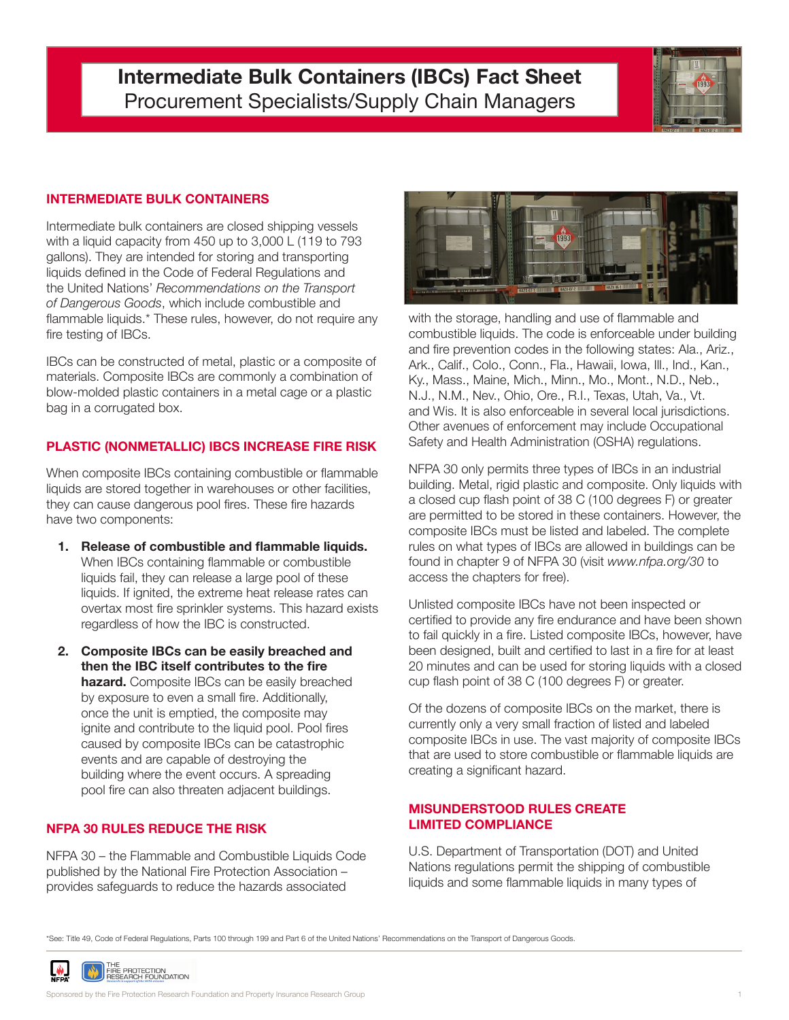# **Intermediate Bulk Containers (IBCs) Fact Sheet** Procurement Specialists/Supply Chain Managers



# **INTERMEDIATE BULK CONTAINERS**

Intermediate bulk containers are closed shipping vessels with a liquid capacity from 450 up to 3,000 L (119 to 793 gallons). They are intended for storing and transporting liquids defined in the Code of Federal Regulations and the United Nations' *Recommendations on the Transport of Dangerous Goods*, which include combustible and flammable liquids.\* These rules, however, do not require any fire testing of IBCs.

IBCs can be constructed of metal, plastic or a composite of materials. Composite IBCs are commonly a combination of blow-molded plastic containers in a metal cage or a plastic bag in a corrugated box.

### **PLASTIC (NONMETALLIC) IBCS INCREASE FIRE RISK**

When composite IBCs containing combustible or flammable liquids are stored together in warehouses or other facilities, they can cause dangerous pool fires. These fire hazards have two components:

- **1. Release of combustible and flammable liquids.** When IBCs containing flammable or combustible liquids fail, they can release a large pool of these liquids. If ignited, the extreme heat release rates can overtax most fire sprinkler systems. This hazard exists regardless of how the IBC is constructed.
- **2. Composite IBCs can be easily breached and then the IBC itself contributes to the fire hazard.** Composite IBCs can be easily breached by exposure to even a small fire. Additionally, once the unit is emptied, the composite may ignite and contribute to the liquid pool. Pool fires caused by composite IBCs can be catastrophic events and are capable of destroying the building where the event occurs. A spreading pool fire can also threaten adjacent buildings.

# **NFPA 30 RULES REDUCE THE RISK**

NFPA 30 – the Flammable and Combustible Liquids Code published by the National Fire Protection Association – provides safeguards to reduce the hazards associated



with the storage, handling and use of flammable and combustible liquids. The code is enforceable under building and fire prevention codes in the following states: Ala., Ariz., Ark., Calif., Colo., Conn., Fla., Hawaii, Iowa, Ill., Ind., Kan., Ky., Mass., Maine, Mich., Minn., Mo., Mont., N.D., Neb., N.J., N.M., Nev., Ohio, Ore., R.I., Texas, Utah, Va., Vt. and Wis. It is also enforceable in several local jurisdictions. Other avenues of enforcement may include Occupational Safety and Health Administration (OSHA) regulations.

NFPA 30 only permits three types of IBCs in an industrial building. Metal, rigid plastic and composite. Only liquids with a closed cup flash point of 38 C (100 degrees F) or greater are permitted to be stored in these containers. However, the composite IBCs must be listed and labeled. The complete rules on what types of IBCs are allowed in buildings can be found in chapter 9 of NFPA 30 (visit *www.nfpa.org/30* to access the chapters for free).

Unlisted composite IBCs have not been inspected or certified to provide any fire endurance and have been shown to fail quickly in a fire. Listed composite IBCs, however, have been designed, built and certified to last in a fire for at least 20 minutes and can be used for storing liquids with a closed cup flash point of 38 C (100 degrees F) or greater.

Of the dozens of composite IBCs on the market, there is currently only a very small fraction of listed and labeled composite IBCs in use. The vast majority of composite IBCs that are used to store combustible or flammable liquids are creating a significant hazard.

#### **MISUNDERSTOOD RULES CREATE LIMITED COMPLIANCE**

U.S. Department of Transportation (DOT) and United Nations regulations permit the shipping of combustible liquids and some flammable liquids in many types of

\*See: Title 49, Code of Federal Regulations, Parts 100 through 199 and Part 6 of the United Nations' Recommendations on the Transport of Dangerous Goods.